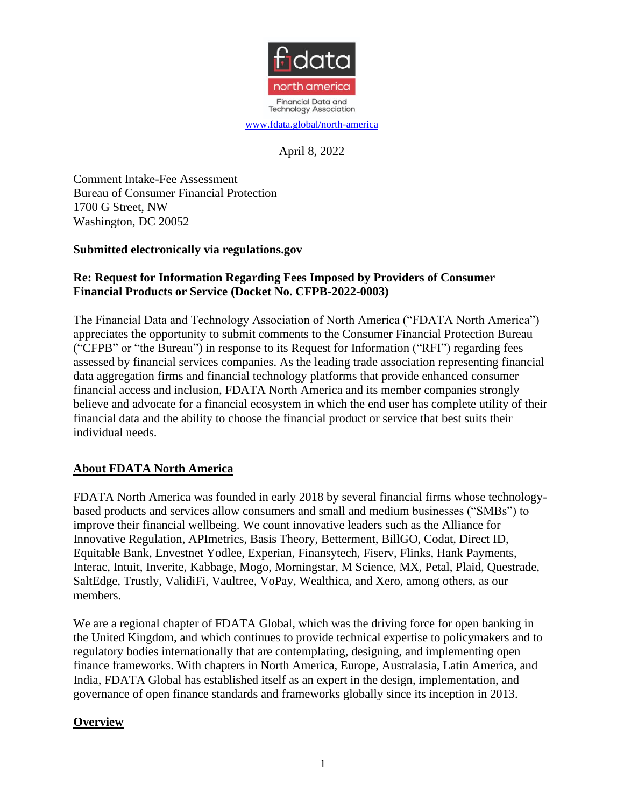

April 8, 2022

Comment Intake-Fee Assessment Bureau of Consumer Financial Protection 1700 G Street, NW Washington, DC 20052

#### **Submitted electronically via regulations.gov**

### **Re: Request for Information Regarding Fees Imposed by Providers of Consumer Financial Products or Service (Docket No. CFPB-2022-0003)**

The Financial Data and Technology Association of North America ("FDATA North America") appreciates the opportunity to submit comments to the Consumer Financial Protection Bureau ("CFPB" or "the Bureau") in response to its Request for Information ("RFI") regarding fees assessed by financial services companies. As the leading trade association representing financial data aggregation firms and financial technology platforms that provide enhanced consumer financial access and inclusion, FDATA North America and its member companies strongly believe and advocate for a financial ecosystem in which the end user has complete utility of their financial data and the ability to choose the financial product or service that best suits their individual needs.

#### **About FDATA North America**

FDATA North America was founded in early 2018 by several financial firms whose technologybased products and services allow consumers and small and medium businesses ("SMBs") to improve their financial wellbeing. We count innovative leaders such as the Alliance for Innovative Regulation, APImetrics, Basis Theory, Betterment, BillGO, Codat, Direct ID, Equitable Bank, Envestnet Yodlee, Experian, Finansytech, Fiserv, Flinks, Hank Payments, Interac, Intuit, Inverite, Kabbage, Mogo, Morningstar, M Science, MX, Petal, Plaid, Questrade, SaltEdge, Trustly, ValidiFi, Vaultree, VoPay, Wealthica, and Xero, among others, as our members.

We are a regional chapter of FDATA Global, which was the driving force for open banking in the United Kingdom, and which continues to provide technical expertise to policymakers and to regulatory bodies internationally that are contemplating, designing, and implementing open finance frameworks. With chapters in North America, Europe, Australasia, Latin America, and India, FDATA Global has established itself as an expert in the design, implementation, and governance of open finance standards and frameworks globally since its inception in 2013.

# **Overview**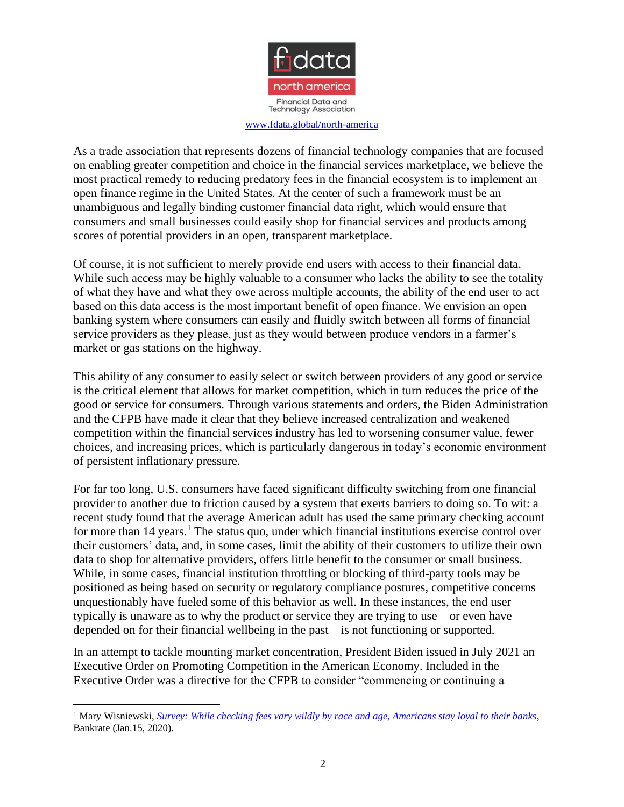

As a trade association that represents dozens of financial technology companies that are focused on enabling greater competition and choice in the financial services marketplace, we believe the most practical remedy to reducing predatory fees in the financial ecosystem is to implement an open finance regime in the United States. At the center of such a framework must be an unambiguous and legally binding customer financial data right, which would ensure that consumers and small businesses could easily shop for financial services and products among scores of potential providers in an open, transparent marketplace.

Of course, it is not sufficient to merely provide end users with access to their financial data. While such access may be highly valuable to a consumer who lacks the ability to see the totality of what they have and what they owe across multiple accounts, the ability of the end user to act based on this data access is the most important benefit of open finance. We envision an open banking system where consumers can easily and fluidly switch between all forms of financial service providers as they please, just as they would between produce vendors in a farmer's market or gas stations on the highway.

This ability of any consumer to easily select or switch between providers of any good or service is the critical element that allows for market competition, which in turn reduces the price of the good or service for consumers. Through various statements and orders, the Biden Administration and the CFPB have made it clear that they believe increased centralization and weakened competition within the financial services industry has led to worsening consumer value, fewer choices, and increasing prices, which is particularly dangerous in today's economic environment of persistent inflationary pressure.

For far too long, U.S. consumers have faced significant difficulty switching from one financial provider to another due to friction caused by a system that exerts barriers to doing so. To wit: a recent study found that the average American adult has used the same primary checking account for more than  $14$  years.<sup>1</sup> The status quo, under which financial institutions exercise control over their customers' data, and, in some cases, limit the ability of their customers to utilize their own data to shop for alternative providers, offers little benefit to the consumer or small business. While, in some cases, financial institution throttling or blocking of third-party tools may be positioned as being based on security or regulatory compliance postures, competitive concerns unquestionably have fueled some of this behavior as well. In these instances, the end user typically is unaware as to why the product or service they are trying to use – or even have depended on for their financial wellbeing in the past – is not functioning or supported.

In an attempt to tackle mounting market concentration, President Biden issued in July 2021 an Executive Order on Promoting Competition in the American Economy. Included in the Executive Order was a directive for the CFPB to consider "commencing or continuing a

<sup>1</sup> Mary Wisniewski, *[Survey: While checking fees vary wildly by race and age, Americans stay loyal to their banks](https://www.bankrate.com/banking/best-banks-consumer-survey-2020/)*, Bankrate (Jan.15, 2020).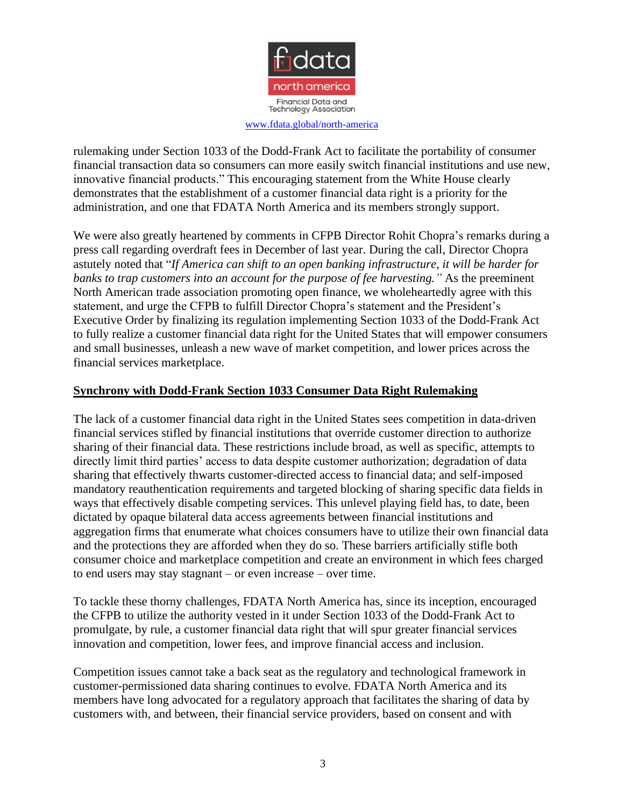

rulemaking under Section 1033 of the Dodd-Frank Act to facilitate the portability of consumer financial transaction data so consumers can more easily switch financial institutions and use new, innovative financial products." This encouraging statement from the White House clearly demonstrates that the establishment of a customer financial data right is a priority for the administration, and one that FDATA North America and its members strongly support.

We were also greatly heartened by comments in CFPB Director Rohit Chopra's remarks during a press call regarding overdraft fees in December of last year. During the call, Director Chopra astutely noted that "*If America can shift to an open banking infrastructure, it will be harder for banks to trap customers into an account for the purpose of fee harvesting."* As the preeminent North American trade association promoting open finance, we wholeheartedly agree with this statement, and urge the CFPB to fulfill Director Chopra's statement and the President's Executive Order by finalizing its regulation implementing Section 1033 of the Dodd-Frank Act to fully realize a customer financial data right for the United States that will empower consumers and small businesses, unleash a new wave of market competition, and lower prices across the financial services marketplace.

# **Synchrony with Dodd-Frank Section 1033 Consumer Data Right Rulemaking**

The lack of a customer financial data right in the United States sees competition in data-driven financial services stifled by financial institutions that override customer direction to authorize sharing of their financial data. These restrictions include broad, as well as specific, attempts to directly limit third parties' access to data despite customer authorization; degradation of data sharing that effectively thwarts customer-directed access to financial data; and self-imposed mandatory reauthentication requirements and targeted blocking of sharing specific data fields in ways that effectively disable competing services. This unlevel playing field has, to date, been dictated by opaque bilateral data access agreements between financial institutions and aggregation firms that enumerate what choices consumers have to utilize their own financial data and the protections they are afforded when they do so. These barriers artificially stifle both consumer choice and marketplace competition and create an environment in which fees charged to end users may stay stagnant – or even increase – over time.

To tackle these thorny challenges, FDATA North America has, since its inception, encouraged the CFPB to utilize the authority vested in it under Section 1033 of the Dodd-Frank Act to promulgate, by rule, a customer financial data right that will spur greater financial services innovation and competition, lower fees, and improve financial access and inclusion.

Competition issues cannot take a back seat as the regulatory and technological framework in customer-permissioned data sharing continues to evolve. FDATA North America and its members have long advocated for a regulatory approach that facilitates the sharing of data by customers with, and between, their financial service providers, based on consent and with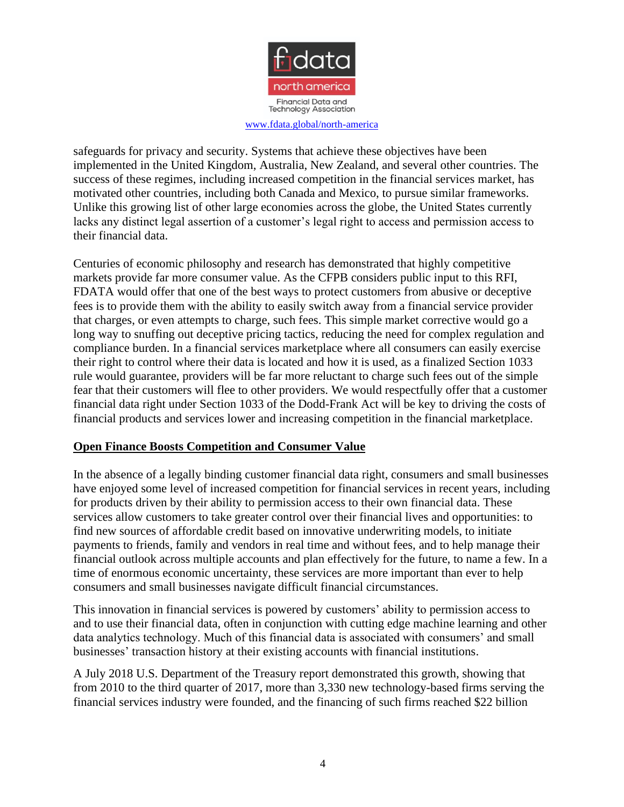

safeguards for privacy and security. Systems that achieve these objectives have been implemented in the United Kingdom, Australia, New Zealand, and several other countries. The success of these regimes, including increased competition in the financial services market, has motivated other countries, including both Canada and Mexico, to pursue similar frameworks. Unlike this growing list of other large economies across the globe, the United States currently lacks any distinct legal assertion of a customer's legal right to access and permission access to their financial data.

Centuries of economic philosophy and research has demonstrated that highly competitive markets provide far more consumer value. As the CFPB considers public input to this RFI, FDATA would offer that one of the best ways to protect customers from abusive or deceptive fees is to provide them with the ability to easily switch away from a financial service provider that charges, or even attempts to charge, such fees. This simple market corrective would go a long way to snuffing out deceptive pricing tactics, reducing the need for complex regulation and compliance burden. In a financial services marketplace where all consumers can easily exercise their right to control where their data is located and how it is used, as a finalized Section 1033 rule would guarantee, providers will be far more reluctant to charge such fees out of the simple fear that their customers will flee to other providers. We would respectfully offer that a customer financial data right under Section 1033 of the Dodd-Frank Act will be key to driving the costs of financial products and services lower and increasing competition in the financial marketplace.

#### **Open Finance Boosts Competition and Consumer Value**

In the absence of a legally binding customer financial data right, consumers and small businesses have enjoyed some level of increased competition for financial services in recent years, including for products driven by their ability to permission access to their own financial data. These services allow customers to take greater control over their financial lives and opportunities: to find new sources of affordable credit based on innovative underwriting models, to initiate payments to friends, family and vendors in real time and without fees, and to help manage their financial outlook across multiple accounts and plan effectively for the future, to name a few. In a time of enormous economic uncertainty, these services are more important than ever to help consumers and small businesses navigate difficult financial circumstances.

This innovation in financial services is powered by customers' ability to permission access to and to use their financial data, often in conjunction with cutting edge machine learning and other data analytics technology. Much of this financial data is associated with consumers' and small businesses' transaction history at their existing accounts with financial institutions.

A July 2018 U.S. Department of the Treasury report demonstrated this growth, showing that from 2010 to the third quarter of 2017, more than 3,330 new technology-based firms serving the financial services industry were founded, and the financing of such firms reached \$22 billion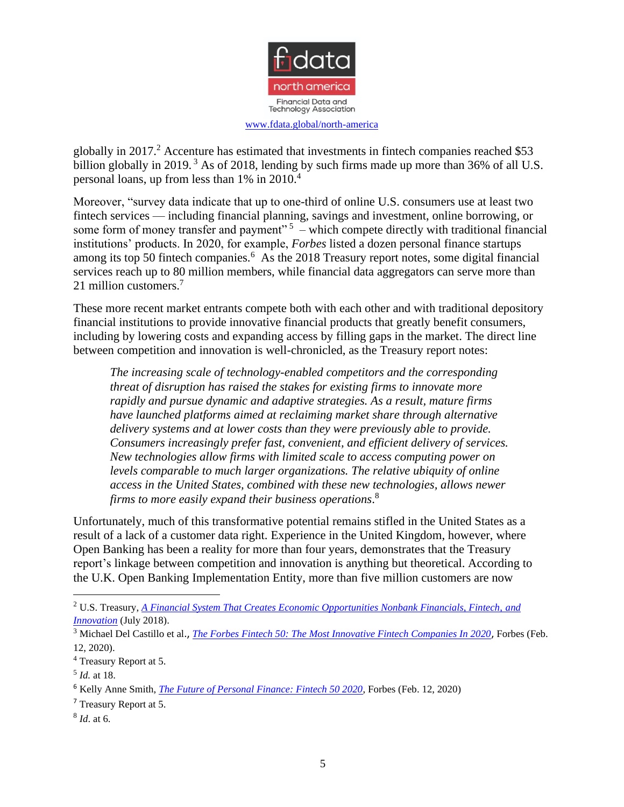

globally in 2017.<sup>2</sup> Accenture has estimated that investments in fintech companies reached \$53 billion globally in 2019.<sup>3</sup> As of 2018, lending by such firms made up more than 36% of all U.S. personal loans, up from less than 1% in 2010.<sup>4</sup>

Moreover, "survey data indicate that up to one-third of online U.S. consumers use at least two fintech services — including financial planning, savings and investment, online borrowing, or some form of money transfer and payment"<sup>5</sup> – which compete directly with traditional financial institutions' products. In 2020, for example, *Forbes* listed a dozen personal finance startups among its top 50 fintech companies.<sup>6</sup> As the 2018 Treasury report notes, some digital financial services reach up to 80 million members, while financial data aggregators can serve more than 21 million customers.<sup>7</sup>

These more recent market entrants compete both with each other and with traditional depository financial institutions to provide innovative financial products that greatly benefit consumers, including by lowering costs and expanding access by filling gaps in the market. The direct line between competition and innovation is well-chronicled, as the Treasury report notes:

*The increasing scale of technology-enabled competitors and the corresponding threat of disruption has raised the stakes for existing firms to innovate more rapidly and pursue dynamic and adaptive strategies. As a result, mature firms have launched platforms aimed at reclaiming market share through alternative delivery systems and at lower costs than they were previously able to provide. Consumers increasingly prefer fast, convenient, and efficient delivery of services. New technologies allow firms with limited scale to access computing power on levels comparable to much larger organizations. The relative ubiquity of online access in the United States, combined with these new technologies, allows newer firms to more easily expand their business operations*. 8

Unfortunately, much of this transformative potential remains stifled in the United States as a result of a lack of a customer data right. Experience in the United Kingdom, however, where Open Banking has been a reality for more than four years, demonstrates that the Treasury report's linkage between competition and innovation is anything but theoretical. According to the U.K. Open Banking Implementation Entity, more than five million customers are now

<sup>2</sup> U.S. Treasury, *[A Financial System That Creates Economic Opportunities Nonbank Financials, Fintech,](https://home.treasury.gov/sites/default/files/2018-08/A-Financial-System-that-Creates-Economic-Opportunities---Nonbank-Financials-Fintech-and-Innovation_0.pdf) and [Innovation](https://home.treasury.gov/sites/default/files/2018-08/A-Financial-System-that-Creates-Economic-Opportunities---Nonbank-Financials-Fintech-and-Innovation_0.pdf)* (July 2018).

<sup>3</sup> Michael Del Castillo et al., *[The Forbes Fintech 50: The Most Innovative Fintech Companies In 2020](https://www.forbes.com/fintech/2021/#388decd531a6)*, Forbes (Feb. 12, 2020).

<sup>4</sup> Treasury Report at 5.

<sup>5</sup> *Id.* at 18.

<sup>6</sup> Kelly Anne Smith, *[The Future of Personal Finance: Fintech 50 2020](https://www.forbes.com/sites/kellyannesmith/2020/02/12/the-future-of-personal-finance-fintech-50-2020/#346ce4a6fd43.)*, Forbes (Feb. 12, 2020)

<sup>7</sup> Treasury Report at 5.

<sup>8</sup> *Id*. at 6.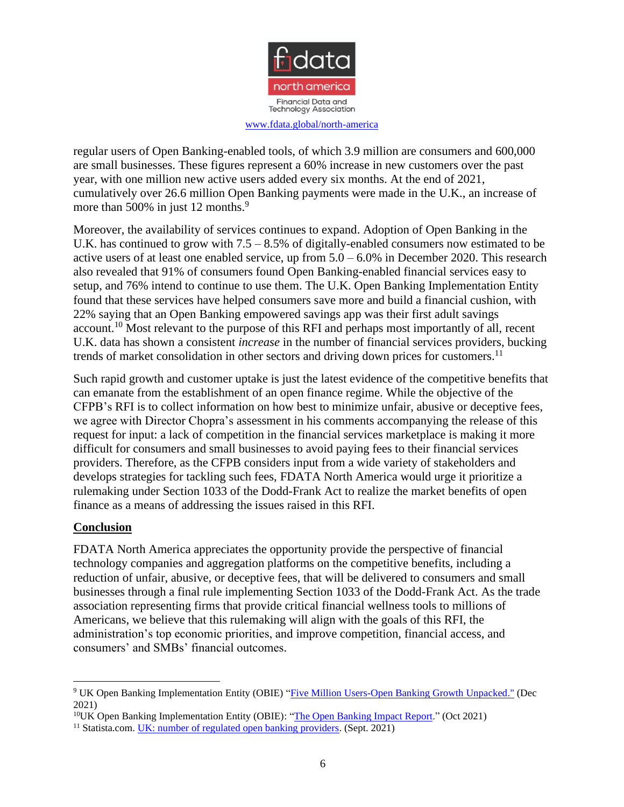

regular users of Open Banking-enabled tools, of which 3.9 million are consumers and 600,000 are small businesses. These figures represent a 60% increase in new customers over the past year, with one million new active users added every six months. At the end of 2021, cumulatively over 26.6 million Open Banking payments were made in the U.K., an increase of more than 500% in just 12 months.<sup>9</sup>

Moreover, the availability of services continues to expand. Adoption of Open Banking in the U.K. has continued to grow with  $7.5 - 8.5\%$  of digitally-enabled consumers now estimated to be active users of at least one enabled service, up from 5.0 – 6.0% in December 2020. This research also revealed that 91% of consumers found Open Banking-enabled financial services easy to setup, and 76% intend to continue to use them. The U.K. Open Banking Implementation Entity found that these services have helped consumers save more and build a financial cushion, with 22% saying that an Open Banking empowered savings app was their first adult savings account.<sup>10</sup> Most relevant to the purpose of this RFI and perhaps most importantly of all, recent U.K. data has shown a consistent *increase* in the number of financial services providers, bucking trends of market consolidation in other sectors and driving down prices for customers.<sup>11</sup>

Such rapid growth and customer uptake is just the latest evidence of the competitive benefits that can emanate from the establishment of an open finance regime. While the objective of the CFPB's RFI is to collect information on how best to minimize unfair, abusive or deceptive fees, we agree with Director Chopra's assessment in his comments accompanying the release of this request for input: a lack of competition in the financial services marketplace is making it more difficult for consumers and small businesses to avoid paying fees to their financial services providers. Therefore, as the CFPB considers input from a wide variety of stakeholders and develops strategies for tackling such fees, FDATA North America would urge it prioritize a rulemaking under Section 1033 of the Dodd-Frank Act to realize the market benefits of open finance as a means of addressing the issues raised in this RFI.

# **Conclusion**

FDATA North America appreciates the opportunity provide the perspective of financial technology companies and aggregation platforms on the competitive benefits, including a reduction of unfair, abusive, or deceptive fees, that will be delivered to consumers and small businesses through a final rule implementing Section 1033 of the Dodd-Frank Act. As the trade association representing firms that provide critical financial wellness tools to millions of Americans, we believe that this rulemaking will align with the goals of this RFI, the administration's top economic priorities, and improve competition, financial access, and consumers' and SMBs' financial outcomes.

<sup>9</sup> UK Open Banking Implementation Entity (OBIE) ["Five Million Users-Open Banking Growth Unpacked."](https://www.openbanking.org.uk/news/5-million-users-open-banking-growth-unpacked/) (Dec 2021)

<sup>&</sup>lt;sup>10</sup>UK Open Banking Implementation Entity (OBIE): ["The Open Banking Impact Report.](https://www.openbanking.org.uk/insights/the-open-banking-impact-report-oct-2021/)" (Oct 2021)

<sup>&</sup>lt;sup>11</sup> Statista.com. <u>UK: number of regulated open banking providers</u>. (Sept. 2021)